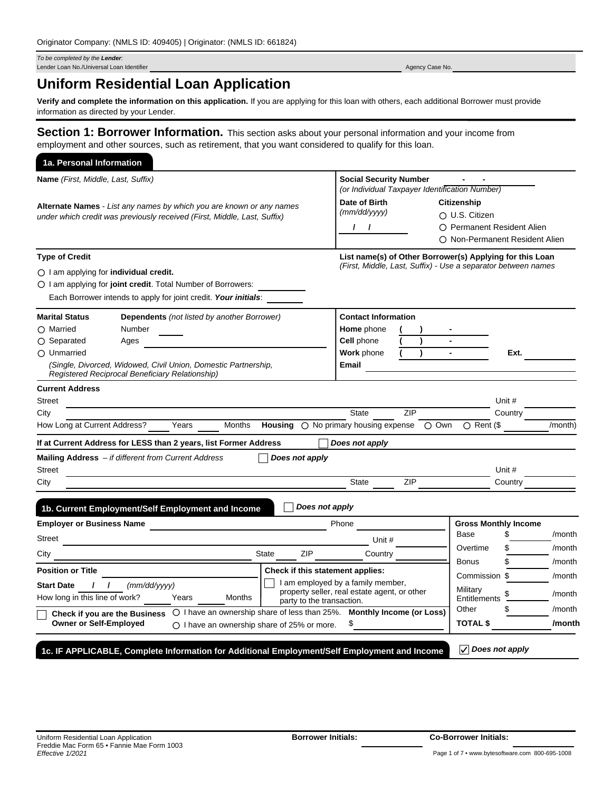Lender Loan No./Universal Loan Identifier **Agency Case No.** Agency Case No. Agency Case No. Agency Case No. *To be completed by the Lender:*

# **Uniform Residential Loan Application**

**Verify and complete the information on this application.** If you are applying for this loan with others, each additional Borrower must provide information as directed by your Lender.

**Section 1: Borrower Information.** This section asks about your personal information and your income from employment and other sources, such as retirement, that you want considered to qualify for this loan.

| 1a. Personal Information                                                                                                                                                                                                                                              |                                                                                                                                                          |
|-----------------------------------------------------------------------------------------------------------------------------------------------------------------------------------------------------------------------------------------------------------------------|----------------------------------------------------------------------------------------------------------------------------------------------------------|
| Name (First, Middle, Last, Suffix)<br><b>Alternate Names</b> - List any names by which you are known or any names                                                                                                                                                     | <b>Social Security Number</b><br>(or Individual Taxpayer Identification Number)<br>Date of Birth<br><b>Citizenship</b><br>(mm/dd/yyyy)<br>○ U.S. Citizen |
| under which credit was previously received (First, Middle, Last, Suffix)                                                                                                                                                                                              | ○ Permanent Resident Alien<br>$\sqrt{ }$<br>○ Non-Permanent Resident Alien                                                                               |
| <b>Type of Credit</b>                                                                                                                                                                                                                                                 | List name(s) of Other Borrower(s) Applying for this Loan                                                                                                 |
| $\bigcirc$ I am applying for <b>individual credit.</b><br>$\bigcirc$ I am applying for joint credit. Total Number of Borrowers:<br>Each Borrower intends to apply for joint credit. Your initials:                                                                    | (First, Middle, Last, Suffix) - Use a separator between names                                                                                            |
| <b>Dependents</b> (not listed by another Borrower)<br><b>Marital Status</b><br>$\bigcap$ Married<br>Number<br>○ Separated<br>Ages<br>○ Unmarried<br>(Single, Divorced, Widowed, Civil Union, Domestic Partnership,<br>Registered Reciprocal Beneficiary Relationship) | <b>Contact Information</b><br>Home phone<br>Cell phone<br>Work phone<br>Ext.<br>Email                                                                    |
| <b>Current Address</b><br><b>Street</b><br>City                                                                                                                                                                                                                       | Unit #<br>ZIP<br><b>State</b><br>Country                                                                                                                 |
| Years<br>How Long at Current Address?<br><b>Months</b>                                                                                                                                                                                                                | $\bigcap$ Rent (\$<br><b>Housing</b> $\bigcirc$ No primary housing expense<br>○ Own<br>/month)                                                           |
| If at Current Address for LESS than 2 years, list Former Address                                                                                                                                                                                                      | Does not apply                                                                                                                                           |
| Mailing Address - if different from Current Address<br>Does not apply<br>Street<br>City                                                                                                                                                                               | Unit #<br>ZIP<br><b>State</b><br>Country                                                                                                                 |
| 1b. Current Employment/Self Employment and Income                                                                                                                                                                                                                     | Does not apply                                                                                                                                           |
| <b>Employer or Business Name</b>                                                                                                                                                                                                                                      | <b>Gross Monthly Income</b><br>Phone                                                                                                                     |
| Street                                                                                                                                                                                                                                                                | <b>Base</b><br>S<br>/month<br>Unit #                                                                                                                     |
| <b>State</b><br>City                                                                                                                                                                                                                                                  | Overtime<br>/month<br>ZIP<br>Country<br><b>Bonus</b><br>/month                                                                                           |
| <b>Position or Title</b>                                                                                                                                                                                                                                              | Check if this statement applies:<br>Commission \$<br>/month                                                                                              |
| <b>Start Date</b><br>(mm/dd/yyyy)<br>$\prime$<br>How long in this line of work?<br>Years<br>Months                                                                                                                                                                    | I am employed by a family member,<br>Military<br>property seller, real estate agent, or other<br>/month<br>Entitlements<br>party to the transaction.     |
| O I have an ownership share of less than 25%.<br><b>Check if you are the Business</b><br><b>Owner or Self-Employed</b><br>$\bigcirc$ I have an ownership share of 25% or more.                                                                                        | Other<br>/month<br><b>Monthly Income (or Loss)</b><br><b>TOTAL \$</b><br>/month                                                                          |
| 1c. IF APPLICABLE, Complete Information for Additional Employment/Self Employment and Income                                                                                                                                                                          | $ \mathcal{y} $ Does not apply                                                                                                                           |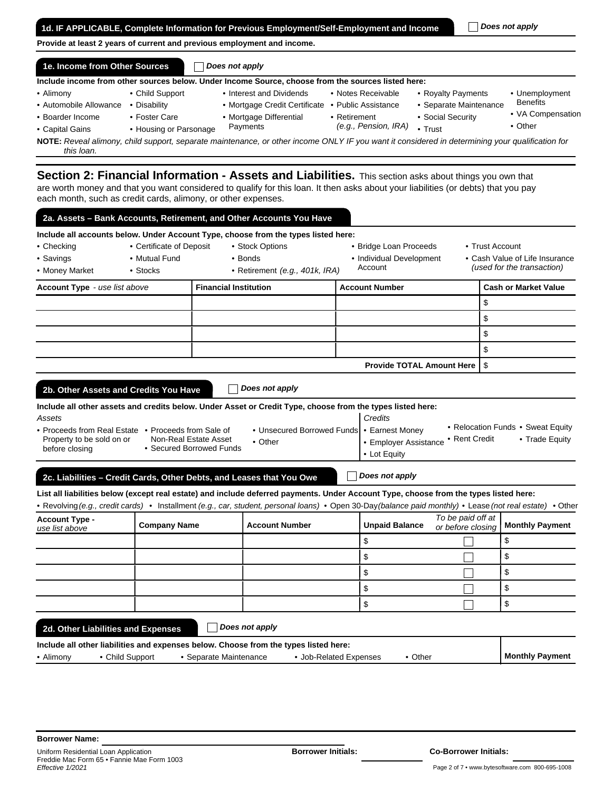|                                                                                                              |                                                            |                                                   | Provide at least 2 years of current and previous employment and income.                                                                                                                                                                                                                                                                                                       |              |                                                               |                                                                                      |                 |                                                                   |
|--------------------------------------------------------------------------------------------------------------|------------------------------------------------------------|---------------------------------------------------|-------------------------------------------------------------------------------------------------------------------------------------------------------------------------------------------------------------------------------------------------------------------------------------------------------------------------------------------------------------------------------|--------------|---------------------------------------------------------------|--------------------------------------------------------------------------------------|-----------------|-------------------------------------------------------------------|
| 1e. Income from Other Sources                                                                                |                                                            | Does not apply                                    |                                                                                                                                                                                                                                                                                                                                                                               |              |                                                               |                                                                                      |                 |                                                                   |
| • Alimony<br>• Automobile Allowance • Disability<br>• Boarder Income<br>• Capital Gains<br>this Ioan.        | • Child Support<br>• Foster Care<br>• Housing or Parsonage |                                                   | Include income from other sources below. Under Income Source, choose from the sources listed here:<br>• Interest and Dividends<br>• Mortgage Credit Certificate • Public Assistance<br>• Mortgage Differential<br>Payments<br>NOTE: Reveal alimony, child support, separate maintenance, or other income ONLY IF you want it considered in determining your qualification for | • Retirement | • Notes Receivable<br>$(e.g.,$ Pension, IRA)                  | • Royalty Payments<br>• Separate Maintenance<br>• Social Security<br>$\bullet$ Trust |                 | • Unemployment<br><b>Benefits</b><br>• VA Compensation<br>• Other |
| each month, such as credit cards, alimony, or other expenses.                                                |                                                            |                                                   | Section 2: Financial Information - Assets and Liabilities. This section asks about things you own that<br>are worth money and that you want considered to qualify for this loan. It then asks about your liabilities (or debts) that you pay                                                                                                                                  |              |                                                               |                                                                                      |                 |                                                                   |
|                                                                                                              |                                                            |                                                   | 2a. Assets - Bank Accounts, Retirement, and Other Accounts You Have                                                                                                                                                                                                                                                                                                           |              |                                                               |                                                                                      |                 |                                                                   |
| • Checking<br>• Savings<br>• Money Market                                                                    | • Certificate of Deposit<br>• Mutual Fund<br>• Stocks      |                                                   | Include all accounts below. Under Account Type, choose from the types listed here:<br>• Stock Options<br>• Bonds<br>• Retirement (e.g., 401k, IRA)                                                                                                                                                                                                                            |              | • Bridge Loan Proceeds<br>• Individual Development<br>Account |                                                                                      | • Trust Account | • Cash Value of Life Insurance<br>(used for the transaction)      |
| Account Type - use list above                                                                                |                                                            | <b>Financial Institution</b>                      |                                                                                                                                                                                                                                                                                                                                                                               |              | <b>Account Number</b>                                         |                                                                                      |                 | <b>Cash or Market Value</b>                                       |
|                                                                                                              |                                                            |                                                   |                                                                                                                                                                                                                                                                                                                                                                               |              |                                                               |                                                                                      | \$              |                                                                   |
|                                                                                                              |                                                            |                                                   |                                                                                                                                                                                                                                                                                                                                                                               |              |                                                               |                                                                                      | \$              |                                                                   |
|                                                                                                              |                                                            |                                                   |                                                                                                                                                                                                                                                                                                                                                                               |              |                                                               |                                                                                      | \$              |                                                                   |
|                                                                                                              |                                                            |                                                   |                                                                                                                                                                                                                                                                                                                                                                               |              |                                                               |                                                                                      | \$              |                                                                   |
|                                                                                                              |                                                            |                                                   |                                                                                                                                                                                                                                                                                                                                                                               |              |                                                               | <b>Provide TOTAL Amount Here</b>                                                     | \$              |                                                                   |
| 2b. Other Assets and Credits You Have                                                                        |                                                            |                                                   | Does not apply                                                                                                                                                                                                                                                                                                                                                                |              |                                                               |                                                                                      |                 |                                                                   |
| Assets<br>• Proceeds from Real Estate • Proceeds from Sale of<br>Property to be sold on or<br>before closing |                                                            | Non-Real Estate Asset<br>• Secured Borrowed Funds | Include all other assets and credits below. Under Asset or Credit Type, choose from the types listed here:<br>• Unsecured Borrowed Funds • Earnest Money<br>• Other                                                                                                                                                                                                           |              | Credits<br>• Employer Assistance<br>• Lot Equity              | • Rent Credit                                                                        |                 | • Relocation Funds • Sweat Equity<br>• Trade Equity               |
|                                                                                                              |                                                            |                                                   | 2c. Liabilities - Credit Cards, Other Debts, and Leases that You Owe                                                                                                                                                                                                                                                                                                          |              | Does not apply                                                |                                                                                      |                 |                                                                   |
|                                                                                                              |                                                            |                                                   | List all liabilities below (except real estate) and include deferred payments. Under Account Type, choose from the types listed here:<br>· Revolving (e.g., credit cards) · Installment (e.g., car, student, personal loans) · Open 30-Day (balance paid monthly) · Lease (not real estate) · Other                                                                           |              |                                                               |                                                                                      |                 |                                                                   |
| <b>Account Type -</b><br>use list above                                                                      | <b>Company Name</b>                                        |                                                   | <b>Account Number</b>                                                                                                                                                                                                                                                                                                                                                         |              | <b>Unpaid Balance</b>                                         | To be paid off at<br>or before closing                                               |                 | <b>Monthly Payment</b>                                            |
|                                                                                                              |                                                            |                                                   |                                                                                                                                                                                                                                                                                                                                                                               |              | \$                                                            |                                                                                      | \$              |                                                                   |
|                                                                                                              |                                                            |                                                   |                                                                                                                                                                                                                                                                                                                                                                               |              | \$                                                            |                                                                                      | \$              |                                                                   |
|                                                                                                              |                                                            |                                                   |                                                                                                                                                                                                                                                                                                                                                                               |              | \$                                                            |                                                                                      | \$              |                                                                   |
|                                                                                                              |                                                            |                                                   |                                                                                                                                                                                                                                                                                                                                                                               |              |                                                               |                                                                                      |                 |                                                                   |
|                                                                                                              |                                                            |                                                   |                                                                                                                                                                                                                                                                                                                                                                               |              | \$                                                            |                                                                                      | \$              |                                                                   |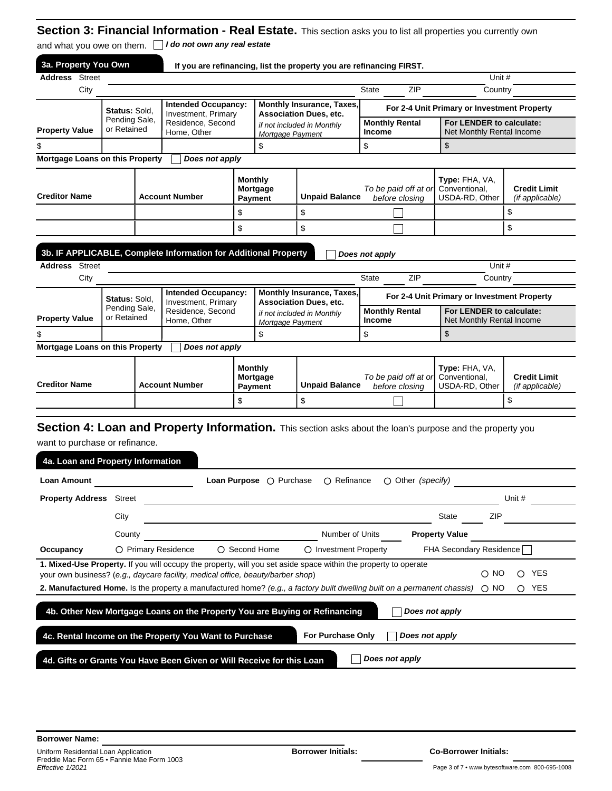## **Section 3: Financial Information - Real Estate.** This section asks you to list all properties you currently own

and what you owe on them. *I do not own any real estate*

| 3a. Property You Own                             |                                       |                                                                                                                                                                                                                                                                                                                                |                |                                                                                 | If you are refinancing, list the property you are refinancing FIRST. |                                 |                                        |                                                       |                                        |
|--------------------------------------------------|---------------------------------------|--------------------------------------------------------------------------------------------------------------------------------------------------------------------------------------------------------------------------------------------------------------------------------------------------------------------------------|----------------|---------------------------------------------------------------------------------|----------------------------------------------------------------------|---------------------------------|----------------------------------------|-------------------------------------------------------|----------------------------------------|
| <b>Address</b> Street                            |                                       |                                                                                                                                                                                                                                                                                                                                |                |                                                                                 |                                                                      |                                 |                                        | Unit #                                                |                                        |
| City                                             |                                       |                                                                                                                                                                                                                                                                                                                                |                |                                                                                 |                                                                      | State                           | ZIP                                    | Country                                               |                                        |
|                                                  | Status: Sold.                         | <b>Intended Occupancy:</b>                                                                                                                                                                                                                                                                                                     |                |                                                                                 | <b>Monthly Insurance, Taxes,</b>                                     |                                 |                                        | For 2-4 Unit Primary or Investment Property           |                                        |
| <b>Property Value</b>                            | Pending Sale,<br>or Retained          | Investment, Primary<br>Residence, Second<br>Home, Other                                                                                                                                                                                                                                                                        |                | <b>Association Dues, etc.</b><br>if not included in Monthly<br>Mortgage Payment |                                                                      | <b>Monthly Rental</b><br>Income |                                        | For LENDER to calculate:<br>Net Monthly Rental Income |                                        |
| \$                                               |                                       |                                                                                                                                                                                                                                                                                                                                |                | \$                                                                              |                                                                      | \$                              |                                        | \$                                                    |                                        |
| Mortgage Loans on this Property                  |                                       | Does not apply                                                                                                                                                                                                                                                                                                                 |                |                                                                                 |                                                                      |                                 |                                        |                                                       |                                        |
| <b>Creditor Name</b>                             |                                       | <b>Account Number</b>                                                                                                                                                                                                                                                                                                          | <b>Monthly</b> | Mortgage<br>Payment                                                             | <b>Unpaid Balance</b>                                                |                                 | To be paid off at or<br>before closing | Type: FHA, VA,<br>Conventional.<br>USDA-RD, Other     | <b>Credit Limit</b><br>(if applicable) |
|                                                  |                                       |                                                                                                                                                                                                                                                                                                                                | \$             |                                                                                 | \$                                                                   |                                 |                                        |                                                       | \$                                     |
|                                                  |                                       |                                                                                                                                                                                                                                                                                                                                | \$             |                                                                                 | \$                                                                   |                                 |                                        |                                                       | \$                                     |
|                                                  |                                       |                                                                                                                                                                                                                                                                                                                                |                |                                                                                 |                                                                      |                                 |                                        |                                                       |                                        |
|                                                  |                                       | 3b. IF APPLICABLE, Complete Information for Additional Property                                                                                                                                                                                                                                                                |                |                                                                                 |                                                                      | Does not apply                  |                                        |                                                       |                                        |
| <b>Address</b> Street<br>City                    |                                       |                                                                                                                                                                                                                                                                                                                                |                |                                                                                 |                                                                      | <b>State</b>                    | ZIP                                    | Unit #<br>Country                                     |                                        |
|                                                  |                                       | <b>Intended Occupancy:</b>                                                                                                                                                                                                                                                                                                     |                |                                                                                 | Monthly Insurance, Taxes,                                            |                                 |                                        | For 2-4 Unit Primary or Investment Property           |                                        |
|                                                  | <b>Status: Sold.</b><br>Pending Sale, | Investment, Primary<br>Residence, Second                                                                                                                                                                                                                                                                                       |                |                                                                                 | <b>Association Dues, etc.</b>                                        |                                 | <b>Monthly Rental</b>                  | For LENDER to calculate:                              |                                        |
| <b>Property Value</b>                            | or Retained                           | Home, Other                                                                                                                                                                                                                                                                                                                    |                | Mortgage Payment                                                                | if not included in Monthly                                           | <b>Income</b>                   |                                        | Net Monthly Rental Income                             |                                        |
| \$                                               |                                       |                                                                                                                                                                                                                                                                                                                                |                | \$                                                                              |                                                                      | \$                              |                                        | $\mathfrak{S}$                                        |                                        |
| Mortgage Loans on this Property                  |                                       | Does not apply                                                                                                                                                                                                                                                                                                                 |                |                                                                                 |                                                                      |                                 |                                        |                                                       |                                        |
| <b>Creditor Name</b>                             |                                       | <b>Account Number</b>                                                                                                                                                                                                                                                                                                          | <b>Monthly</b> | Mortgage<br><b>Payment</b>                                                      | <b>Unpaid Balance</b>                                                |                                 | To be paid off at or<br>before closing | Type: FHA, VA,<br>Conventional,<br>USDA-RD, Other     | <b>Credit Limit</b><br>(if applicable) |
|                                                  |                                       |                                                                                                                                                                                                                                                                                                                                | \$             |                                                                                 | \$                                                                   |                                 |                                        |                                                       | \$                                     |
| want to purchase or refinance.                   |                                       | Section 4: Loan and Property Information. This section asks about the loan's purpose and the property you                                                                                                                                                                                                                      |                |                                                                                 |                                                                      |                                 |                                        |                                                       |                                        |
| 4a. Loan and Property Information<br>Loan Amount |                                       |                                                                                                                                                                                                                                                                                                                                |                | <b>Loan Purpose</b> $\bigcirc$ Purchase                                         | $\bigcirc$ Refinance                                                 |                                 | O Other (specify)                      |                                                       |                                        |
|                                                  |                                       |                                                                                                                                                                                                                                                                                                                                |                |                                                                                 |                                                                      |                                 |                                        |                                                       | Unit #                                 |
| <b>Property Address</b> Street                   |                                       |                                                                                                                                                                                                                                                                                                                                |                |                                                                                 |                                                                      |                                 |                                        |                                                       |                                        |
|                                                  | City                                  |                                                                                                                                                                                                                                                                                                                                |                |                                                                                 |                                                                      |                                 |                                        | ZIP<br><b>State</b>                                   |                                        |
|                                                  | County                                |                                                                                                                                                                                                                                                                                                                                |                |                                                                                 | Number of Units                                                      |                                 |                                        | <b>Property Value</b>                                 |                                        |
| Occupancy                                        |                                       | O Primary Residence                                                                                                                                                                                                                                                                                                            |                | ○ Second Home                                                                   | ○ Investment Property                                                |                                 |                                        | FHA Secondary Residence                               |                                        |
|                                                  |                                       | 1. Mixed-Use Property. If you will occupy the property, will you set aside space within the property to operate<br>your own business? (e.g., daycare facility, medical office, beauty/barber shop)<br>2. Manufactured Home. Is the property a manufactured home? (e.g., a factory built dwelling built on a permanent chassis) |                |                                                                                 |                                                                      |                                 |                                        | $\circ$ NO<br>$\circ$ NO                              | YES<br>0<br>O YES                      |
|                                                  |                                       | 4b. Other New Mortgage Loans on the Property You are Buying or Refinancing                                                                                                                                                                                                                                                     |                |                                                                                 |                                                                      |                                 |                                        | Does not apply                                        |                                        |

**4d. Gifts or Grants You Have Been Given or Will Receive for this Loan** *Does not apply*

**4c. Rental Income on the Property You Want to Purchase For Purchase Only** *Does not apply*

**Does not apply**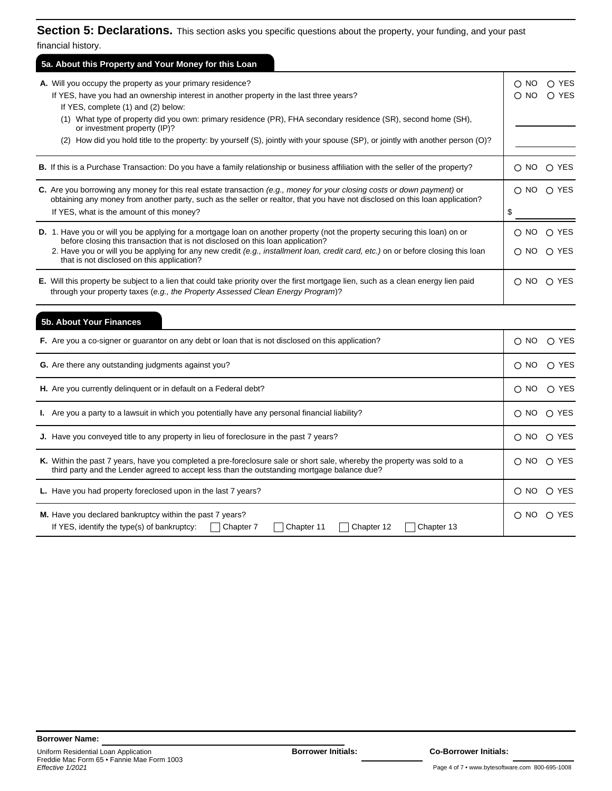## **Section 5: Declarations.** This section asks you specific questions about the property, your funding, and your past financial history.

| 5a. About this Property and Your Money for this Loan                                                                                                                                                                                                                                                                                                                                             |                             |                |
|--------------------------------------------------------------------------------------------------------------------------------------------------------------------------------------------------------------------------------------------------------------------------------------------------------------------------------------------------------------------------------------------------|-----------------------------|----------------|
| A. Will you occupy the property as your primary residence?<br>If YES, have you had an ownership interest in another property in the last three years?<br>If YES, complete (1) and (2) below:<br>What type of property did you own: primary residence (PR), FHA secondary residence (SR), second home (SH),<br>(1)<br>or investment property (IP)?                                                | $\circ$ NO<br>$\bigcirc$ NO | YES<br>O YES   |
| How did you hold title to the property: by yourself (S), jointly with your spouse (SP), or jointly with another person (O)?<br>(2)                                                                                                                                                                                                                                                               |                             |                |
| <b>B.</b> If this is a Purchase Transaction: Do you have a family relationship or business affiliation with the seller of the property?                                                                                                                                                                                                                                                          | $\cap$ NO<br>∩              | <b>YES</b>     |
| C. Are you borrowing any money for this real estate transaction (e.g., money for your closing costs or down payment) or<br>obtaining any money from another party, such as the seller or realtor, that you have not disclosed on this loan application?<br>If YES, what is the amount of this money?                                                                                             | $\cap$ NO<br>⌒              | <b>YES</b>     |
| D. 1. Have you or will you be applying for a mortgage loan on another property (not the property securing this loan) on or<br>before closing this transaction that is not disclosed on this loan application?<br>2. Have you or will you be applying for any new credit (e.g., installment loan, credit card, etc.) on or before closing this loan<br>that is not disclosed on this application? | $\cap$ NO<br>$\cap$ NO      | ∩ YES<br>O YES |
| <b>E.</b> Will this property be subject to a lien that could take priority over the first mortgage lien, such as a clean energy lien paid<br>through your property taxes (e.g., the Property Assessed Clean Energy Program)?                                                                                                                                                                     | $\circ$ NO<br>∩             | <b>YES</b>     |
| <b>5b. About Your Finances</b>                                                                                                                                                                                                                                                                                                                                                                   |                             |                |

| <b>F.</b> Are you a co-signer or guarantor on any debt or loan that is not disclosed on this application?                                                                                                              |                                        |  |  |
|------------------------------------------------------------------------------------------------------------------------------------------------------------------------------------------------------------------------|----------------------------------------|--|--|
| <b>G.</b> Are there any outstanding judgments against you?                                                                                                                                                             |                                        |  |  |
| H. Are you currently delinguent or in default on a Federal debt?                                                                                                                                                       | O YES<br>$\circ$ NO                    |  |  |
| <b>I.</b> Are you a party to a lawsuit in which you potentially have any personal financial liability?                                                                                                                 | $\circ$ NO<br><b>YES</b><br>∩          |  |  |
| J. Have you conveyed title to any property in lieu of foreclosure in the past 7 years?                                                                                                                                 | $\circ$ NO<br><b>YES</b><br>$\bigcirc$ |  |  |
| K. Within the past 7 years, have you completed a pre-foreclosure sale or short sale, whereby the property was sold to a<br>third party and the Lender agreed to accept less than the outstanding mortgage balance due? |                                        |  |  |
| <b>L.</b> Have you had property foreclosed upon in the last 7 years?                                                                                                                                                   |                                        |  |  |
| M. Have you declared bankruptcy within the past 7 years?<br>If YES, identify the type(s) of bankruptcy:<br>  Chapter 7<br>Chapter 11<br>Chapter 12<br>Chapter 13                                                       | <b>YES</b><br>$\circ$ NO<br>∩          |  |  |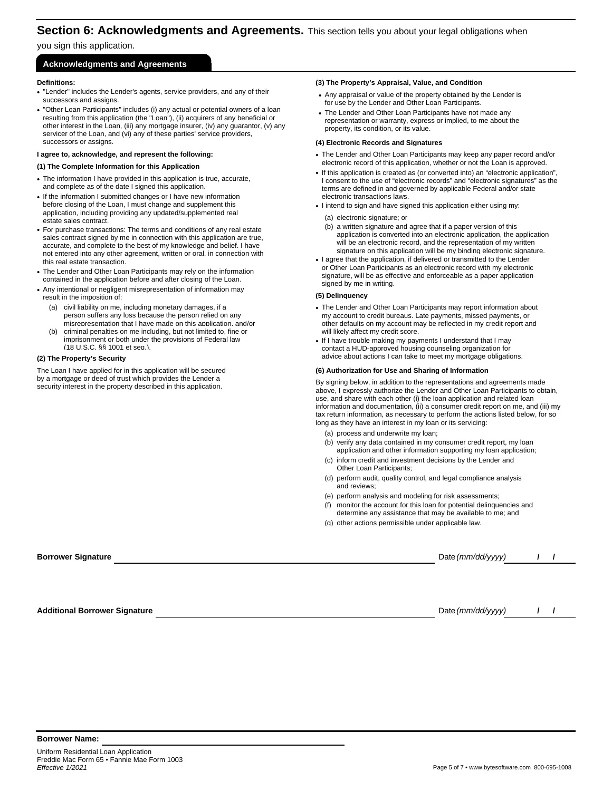# **Section 6: Acknowledgments and Agreements.** This section tells you about your legal obligations when

you sign this application.

### **Acknowledgments and Agreements**

#### **Definitions:**

- "Lender" includes the Lender's agents, service providers, and any of their successors and assigns.
- "Other Loan Participants" includes (i) any actual or potential owners of a loan resulting from this application (the "Loan"), (ii) acquirers of any beneficial or other interest in the Loan, (iii) any mortgage insurer, (iv) any guarantor, (v) any servicer of the Loan, and (vi) any of these parties' service providers, successors or assigns.

#### **I agree to, acknowledge, and represent the following:**

#### **(1) The Complete Information for this Application**

- The information I have provided in this application is true, accurate, and complete as of the date I signed this application.
- If the information I submitted changes or I have new information before closing of the Loan, I must change and supplement this application, including providing any updated/supplemented real estate sales contract.
- For purchase transactions: The terms and conditions of any real estate sales contract signed by me in connection with this application are true, accurate, and complete to the best of my knowledge and belief. I have not entered into any other agreement, written or oral, in connection with this real estate transaction.
- The Lender and Other Loan Participants may rely on the information contained in the application before and after closing of the Loan.
- Any intentional or negligent misrepresentation of information may result in the imposition of:
	- (a) civil liability on me, including monetary damages, if a person suffers any loss because the person relied on any misrepresentation that I have made on this application, and/or
	- criminal penalties on me including, but not limited to, fine or imprisonment or both under the provisions of Federal law (18 U.S.C. §§ 1001 et seq.). (b)

#### **(2) The Property's Security**

The Loan I have applied for in this application will be secured by a mortgage or deed of trust which provides the Lender a security interest in the property described in this application.

#### **(3) The Property's Appraisal, Value, and Condition**

- Any appraisal or value of the property obtained by the Lender is for use by the Lender and Other Loan Participants.
- The Lender and Other Loan Participants have not made any representation or warranty, express or implied, to me about the property, its condition, or its value.

#### **(4) Electronic Records and Signatures**

- The Lender and Other Loan Participants may keep any paper record and/or electronic record of this application, whether or not the Loan is approved.
- If this application is created as (or converted into) an "electronic application", I consent to the use of "electronic records" and "electronic signatures" as the terms are defined in and governed by applicable Federal and/or state electronic transactions laws.
- I intend to sign and have signed this application either using my:
	- (a) electronic signature; or
	- (b) a written signature and agree that if a paper version of this application is converted into an electronic application, the application will be an electronic record, and the representation of my written signature on this application will be my binding electronic signature.
- I agree that the application, if delivered or transmitted to the Lender or Other Loan Participants as an electronic record with my electronic signature, will be as effective and enforceable as a paper application signed by me in writing.

#### **(5) Delinquency**

- The Lender and Other Loan Participants may report information about my account to credit bureaus. Late payments, missed payments, or other defaults on my account may be reflected in my credit report and will likely affect my credit score.
- If I have trouble making my payments I understand that I may contact a HUD-approved housing counseling organization for advice about actions I can take to meet my mortgage obligations.

#### **(6) Authorization for Use and Sharing of Information**

By signing below, in addition to the representations and agreements made above, I expressly authorize the Lender and Other Loan Participants to obtain, use, and share with each other (i) the loan application and related loan information and documentation, (ii) a consumer credit report on me, and (iii) my tax return information, as necessary to perform the actions listed below, for so long as they have an interest in my loan or its servicing:

- (a) process and underwrite my loan;
- (b) verify any data contained in my consumer credit report, my loan application and other information supporting my loan application;
- (c) inform credit and investment decisions by the Lender and Other Loan Participants;
- (d) perform audit, quality control, and legal compliance analysis and reviews;
- (e) perform analysis and modeling for risk assessments;
- (f) monitor the account for this loan for potential delinquencies and determine any assistance that may be available to me; and
- (g) other actions permissible under applicable law.

**Borrower Signature**

**Additional Borrower Signature**

Date *(mm/dd/yyyy)* **/ /**

 **/ /**

Date *(mm/dd/yyyy)*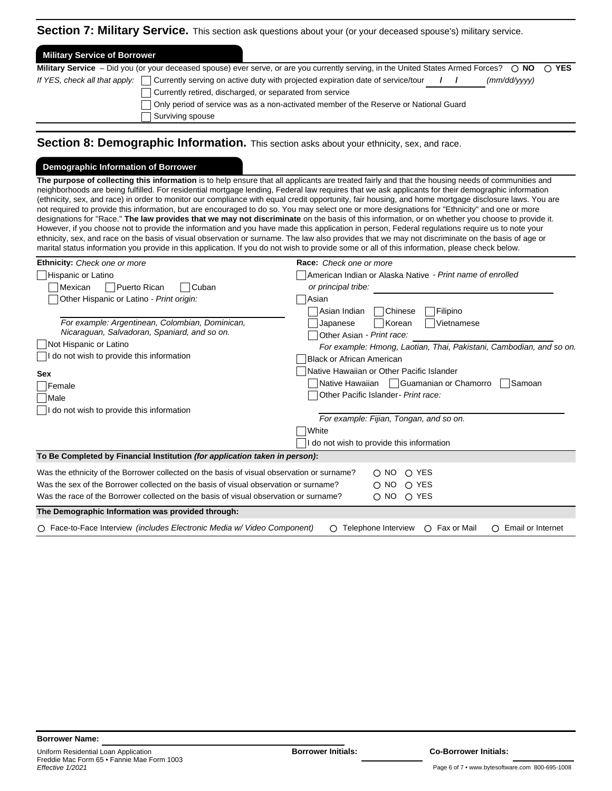**Section 7: Military Service.** This section ask questions about your (or your deceased spouse's) military service.

| <b>Military Service of Borrower</b>                                                                                                                            |  |
|----------------------------------------------------------------------------------------------------------------------------------------------------------------|--|
| Military Service – Did you (or your deceased spouse) ever serve, or are you currently serving, in the United States Armed Forces? $\bigcirc$ NO $\bigcirc$ YES |  |
| If YES, check all that apply: $\Box$ Currently serving on active duty with projected expiration date of service/tour<br>(mm/dd/vvvv)                           |  |
| Currently retired, discharged, or separated from service                                                                                                       |  |
| Only period of service was as a non-activated member of the Reserve or National Guard                                                                          |  |
| Surviving spouse                                                                                                                                               |  |

**Section 8: Demographic Information.** This section asks about your ethnicity, sex, and race.

## **Demographic Information of Borrower**

**The purpose of collecting this information** is to help ensure that all applicants are treated fairly and that the housing needs of communities and neighborhoods are being fulfilled. For residential mortgage lending, Federal law requires that we ask applicants for their demographic information (ethnicity, sex, and race) in order to monitor our compliance with equal credit opportunity, fair housing, and home mortgage disclosure laws. You are not required to provide this information, but are encouraged to do so. You may select one or more designations for "Ethnicity" and one or more designations for "Race." **The law provides that we may not discriminate** on the basis of this information, or on whether you choose to provide it. However, if you choose not to provide the information and you have made this application in person, Federal regulations require us to note your ethnicity, sex, and race on the basis of visual observation or surname. The law also provides that we may not discriminate on the basis of age or marital status information you provide in this application. If you do not wish to provide some or all of this information, please check below.

| Ethnicity: Check one or more                                                               | Race: Check one or more                                               |
|--------------------------------------------------------------------------------------------|-----------------------------------------------------------------------|
| Hispanic or Latino                                                                         | American Indian or Alaska Native - Print name of enrolled             |
| Puerto Rican<br><b>Cuban</b><br>Mexican                                                    | or principal tribe:                                                   |
| Other Hispanic or Latino - Print origin:                                                   | Asian                                                                 |
|                                                                                            | Asian Indian<br>Filipino<br> Chinese                                  |
| For example: Argentinean, Colombian, Dominican,                                            | Korean<br>Vietnamese<br>Japanese                                      |
| Nicaraguan, Salvadoran, Spaniard, and so on.                                               | Other Asian - Print race:                                             |
| Not Hispanic or Latino                                                                     | For example: Hmong, Laotian, Thai, Pakistani, Cambodian, and so on.   |
| I do not wish to provide this information                                                  | Black or African American                                             |
| <b>Sex</b>                                                                                 | Native Hawaiian or Other Pacific Islander                             |
| Female                                                                                     | Guamanian or Chamorro<br>Native Hawaiian<br><b>Samoan</b>             |
| Male                                                                                       | Other Pacific Islander - Print race:                                  |
| I do not wish to provide this information                                                  |                                                                       |
|                                                                                            | For example: Fijian, Tongan, and so on.                               |
|                                                                                            | White                                                                 |
|                                                                                            | I do not wish to provide this information                             |
| To Be Completed by Financial Institution (for application taken in person):                |                                                                       |
| Was the ethnicity of the Borrower collected on the basis of visual observation or surname? | $\cap$ NO<br>YES<br>∩                                                 |
| Was the sex of the Borrower collected on the basis of visual observation or surname?       | $\bigcirc$ NO<br>O YES                                                |
| Was the race of the Borrower collected on the basis of visual observation or surname?      | O NO<br>O YES                                                         |
| The Demographic Information was provided through:                                          |                                                                       |
| ○ Face-to-Face Interview (includes Electronic Media w/ Video Component)                    | <b>Email or Internet</b><br>Telephone Interview<br>○ Fax or Mail<br>∩ |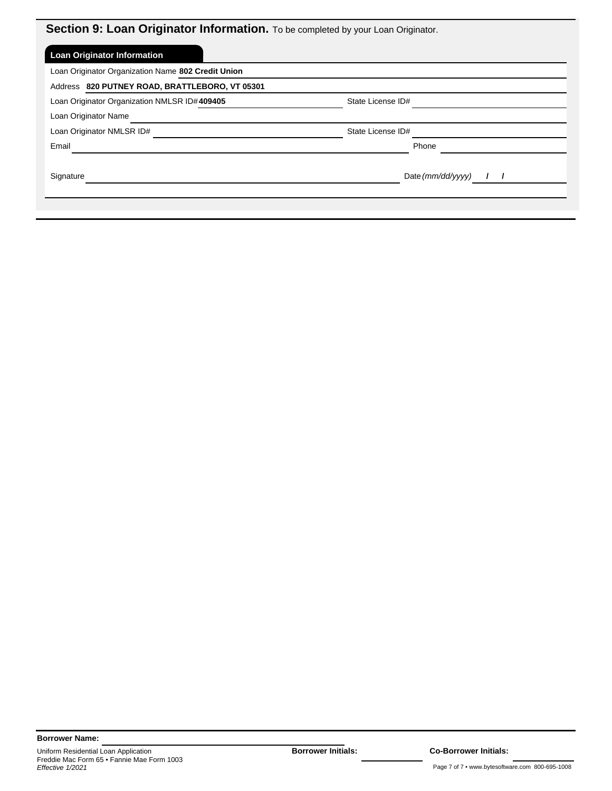| Section 9: Loan Originator Information. To be completed by your Loan Originator. |                                 |
|----------------------------------------------------------------------------------|---------------------------------|
| <b>Loan Originator Information</b>                                               |                                 |
| Loan Originator Organization Name 802 Credit Union                               |                                 |
| Address 820 PUTNEY ROAD, BRATTLEBORO, VT 05301                                   |                                 |
| Loan Originator Organization NMLSR ID#409405                                     | State License ID#               |
| Loan Originator Name                                                             |                                 |
| Loan Originator NMLSR ID#                                                        | State License ID#               |
| Email                                                                            | Phone                           |
| Signature                                                                        | Date (mm/dd/yyyy)<br>$\sqrt{1}$ |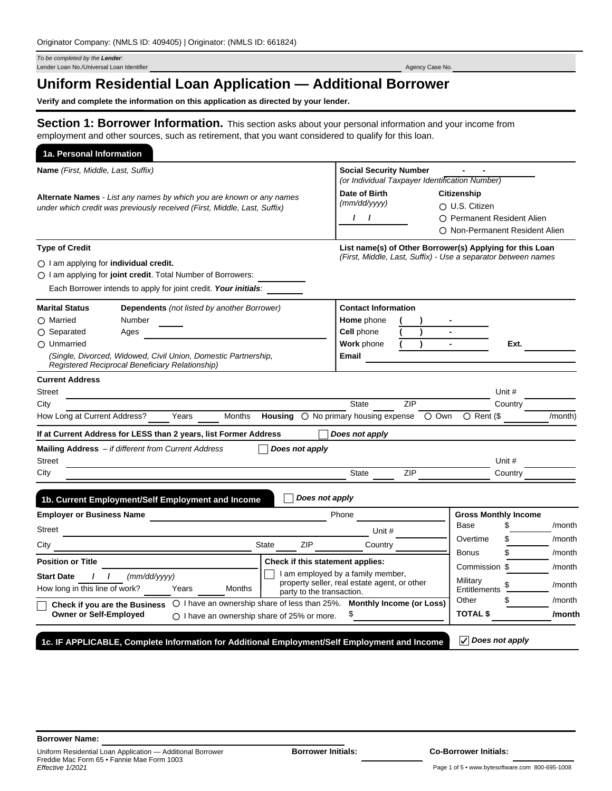Lender Loan No./Universal Loan Identifier **Agency Case No.** Agency Case No. Agency Case No. Agency Case No. *To be completed by the Lender:*

# **Uniform Residential Loan Application — Additional Borrower**

**Verify and complete the information on this application as directed by your lender.**

**Section 1: Borrower Information.** This section asks about your personal information and your income from employment and other sources, such as retirement, that you want considered to qualify for this loan.

| 1a. Personal Information                                       |                                                                                                                                                         |                                                                           |                                                |                                                                                                      |         |
|----------------------------------------------------------------|---------------------------------------------------------------------------------------------------------------------------------------------------------|---------------------------------------------------------------------------|------------------------------------------------|------------------------------------------------------------------------------------------------------|---------|
| Name (First, Middle, Last, Suffix)                             |                                                                                                                                                         | <b>Social Security Number</b>                                             | (or Individual Taxpayer Identification Number) |                                                                                                      |         |
|                                                                | <b>Alternate Names</b> - List any names by which you are known or any names<br>under which credit was previously received (First, Middle, Last, Suffix) | Date of Birth<br>(mm/dd/yyyy)<br>$\mathcal{L}$<br>$\overline{1}$          |                                                | <b>Citizenship</b><br>○ U.S. Citizen<br>○ Permanent Resident Alien<br>O Non-Permanent Resident Alien |         |
| <b>Type of Credit</b>                                          |                                                                                                                                                         |                                                                           |                                                | List name(s) of Other Borrower(s) Applying for this Loan                                             |         |
| $\bigcirc$ I am applying for <b>individual credit.</b>         | $\bigcirc$ I am applying for joint credit. Total Number of Borrowers:<br>Each Borrower intends to apply for joint credit. Your initials:                |                                                                           |                                                | (First, Middle, Last, Suffix) - Use a separator between names                                        |         |
| <b>Marital Status</b>                                          | <b>Dependents</b> (not listed by another Borrower)                                                                                                      | <b>Contact Information</b>                                                |                                                |                                                                                                      |         |
| $\bigcirc$ Married                                             | Number                                                                                                                                                  | <b>Home</b> phone                                                         |                                                |                                                                                                      |         |
| ○ Separated<br>Ages                                            |                                                                                                                                                         | Cell phone                                                                |                                                |                                                                                                      |         |
| O Unmarried<br>Registered Reciprocal Beneficiary Relationship) | (Single, Divorced, Widowed, Civil Union, Domestic Partnership,                                                                                          | Work phone<br>Email                                                       |                                                | Ext.<br>$\blacksquare$                                                                               |         |
| <b>Current Address</b>                                         |                                                                                                                                                         |                                                                           |                                                |                                                                                                      |         |
| <b>Street</b>                                                  |                                                                                                                                                         |                                                                           |                                                | Unit #                                                                                               |         |
| City                                                           |                                                                                                                                                         | <b>State</b>                                                              | ZIP                                            | Country                                                                                              |         |
| How Long at Current Address?                                   | Months<br>Years                                                                                                                                         | <b>Housing</b> $\bigcirc$ No primary housing expense $\bigcirc$ Own       |                                                | $\bigcap$ Rent (\$                                                                                   | /month) |
|                                                                | If at Current Address for LESS than 2 years, list Former Address                                                                                        | Does not apply                                                            |                                                |                                                                                                      |         |
| Mailing Address - if different from Current Address            |                                                                                                                                                         | Does not apply                                                            |                                                |                                                                                                      |         |
| <b>Street</b>                                                  |                                                                                                                                                         |                                                                           |                                                | Unit #                                                                                               |         |
| City                                                           |                                                                                                                                                         | State                                                                     | ZIP                                            | Country                                                                                              |         |
|                                                                | 1b. Current Employment/Self Employment and Income                                                                                                       | Does not apply                                                            |                                                |                                                                                                      |         |
| <b>Employer or Business Name</b>                               |                                                                                                                                                         | Phone                                                                     |                                                | <b>Gross Monthly Income</b>                                                                          |         |
| <b>Street</b>                                                  | <u> 1989 - Johann Barbara, martxa alemaniar a</u>                                                                                                       | Unit #                                                                    |                                                | <b>Base</b>                                                                                          | /month  |
| City                                                           | <b>State</b><br><u> 1980 - Johann Barn, amerikansk politiker (</u>                                                                                      | ZIP<br>Country                                                            |                                                | Overtime                                                                                             | /month  |
| <b>Position or Title</b>                                       |                                                                                                                                                         | Check if this statement applies:                                          |                                                | <b>Bonus</b>                                                                                         | /month  |
| <b>Start Date</b><br>$\sqrt{1}$                                | (mm/dd/yyyy)                                                                                                                                            | I am employed by a family member,                                         |                                                | Commission \$                                                                                        | /month  |
| How long in this line of work?                                 | Years<br>Months                                                                                                                                         | property seller, real estate agent, or other<br>party to the transaction. |                                                | Military<br>Entitlements                                                                             | /month  |
| <b>Check if you are the Business</b>                           | O I have an ownership share of less than 25%. Monthly Income (or Loss)                                                                                  |                                                                           |                                                | Other                                                                                                | /month  |
| <b>Owner or Self-Employed</b>                                  | $\bigcirc$ I have an ownership share of 25% or more.                                                                                                    |                                                                           |                                                | <b>TOTAL \$</b>                                                                                      | /month  |
|                                                                | 1c. IF APPLICABLE, Complete Information for Additional Employment/Self Employment and Income                                                            |                                                                           |                                                | $ \mathcal{V} $ Does not apply                                                                       |         |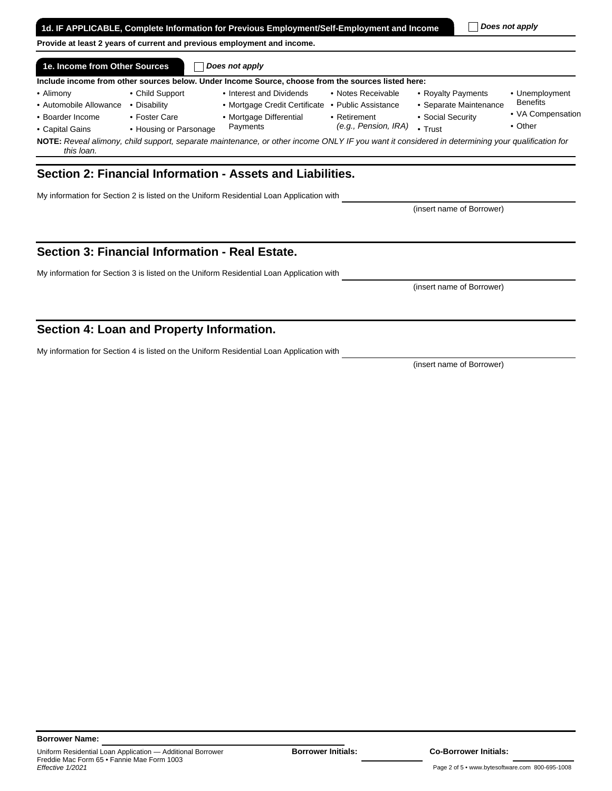| 1e. Income from Other Sources |                        | Does not apply                                                                                                                                  |                      |                        |                   |
|-------------------------------|------------------------|-------------------------------------------------------------------------------------------------------------------------------------------------|----------------------|------------------------|-------------------|
|                               |                        | Include income from other sources below. Under Income Source, choose from the sources listed here:                                              |                      |                        |                   |
| • Alimony                     | • Child Support        | • Interest and Dividends                                                                                                                        | • Notes Receivable   | • Royalty Payments     | • Unemployment    |
| • Automobile Allowance        | • Disability           | • Mortgage Credit Certificate                                                                                                                   | • Public Assistance  | • Separate Maintenance | <b>Benefits</b>   |
| • Boarder Income              | • Foster Care          | • Mortgage Differential                                                                                                                         | • Retirement         | • Social Security      | • VA Compensation |
| • Capital Gains               | • Housing or Parsonage | Payments                                                                                                                                        | (e.g., Pension, IRA) | $\bullet$ Trust        | • Other           |
| this loan.                    |                        | NOTE: Reveal alimony, child support, separate maintenance, or other income ONLY IF you want it considered in determining your qualification for |                      |                        |                   |

**1d. IF APPLICABLE, Complete Information for Previous Employment/Self-Employment and Income** *Does not apply*

My information for Section 2 is listed on the Uniform Residential Loan Application with

# **Section 3: Financial Information - Real Estate.**

My information for Section 3 is listed on the Uniform Residential Loan Application with

# **Section 4: Loan and Property Information.**

My information for Section 4 is listed on the Uniform Residential Loan Application with

(insert name of Borrower)

(insert name of Borrower)

(insert name of Borrower)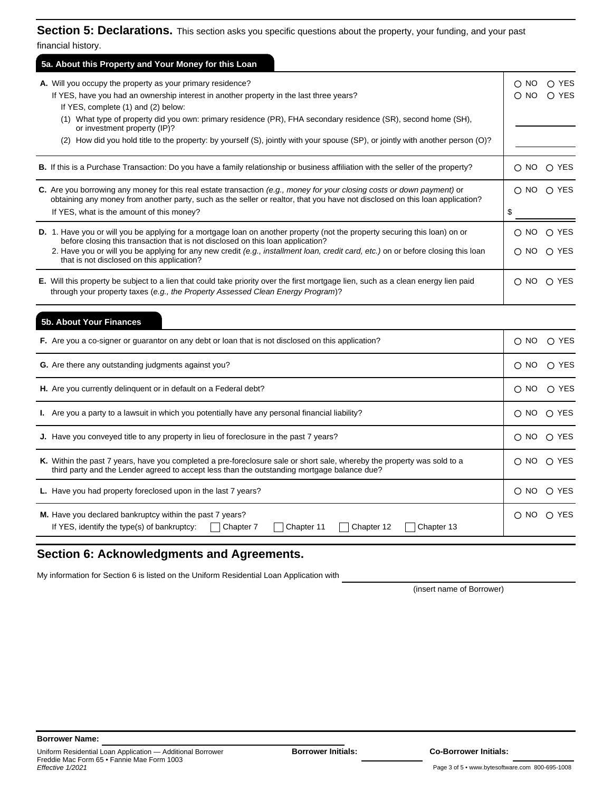## **Section 5: Declarations.** This section asks you specific questions about the property, your funding, and your past financial history.

| 5a. About this Property and Your Money for this Loan                                                                                                                                                                                                                                                                                                                                                                                                                                    |                                            |
|-----------------------------------------------------------------------------------------------------------------------------------------------------------------------------------------------------------------------------------------------------------------------------------------------------------------------------------------------------------------------------------------------------------------------------------------------------------------------------------------|--------------------------------------------|
| A. Will you occupy the property as your primary residence?<br>If YES, have you had an ownership interest in another property in the last three years?<br>If YES, complete (1) and (2) below:<br>What type of property did you own: primary residence (PR), FHA secondary residence (SR), second home (SH),<br>(1)<br>or investment property (IP)?<br>How did you hold title to the property: by yourself (S), jointly with your spouse (SP), or jointly with another person (O)?<br>(2) | O YES<br>O NO<br>$\Omega$ YES<br>O NO      |
| <b>B.</b> If this is a Purchase Transaction: Do you have a family relationship or business affiliation with the seller of the property?                                                                                                                                                                                                                                                                                                                                                 | YES<br>$\circ$ NO<br>∩                     |
| C. Are you borrowing any money for this real estate transaction (e.g., money for your closing costs or down payment) or<br>obtaining any money from another party, such as the seller or realtor, that you have not disclosed on this loan application?<br>If YES, what is the amount of this money?                                                                                                                                                                                    | O YES<br>$\circ$ NO                        |
| D. 1. Have you or will you be applying for a mortgage loan on another property (not the property securing this loan) on or<br>before closing this transaction that is not disclosed on this loan application?<br>2. Have you or will you be applying for any new credit (e.g., installment loan, credit card, etc.) on or before closing this loan<br>that is not disclosed on this application?                                                                                        | $\circ$ NO<br>O YES<br>$\circ$ NO<br>O YES |
| E. Will this property be subject to a lien that could take priority over the first mortgage lien, such as a clean energy lien paid<br>through your property taxes (e.g., the Property Assessed Clean Energy Program)?                                                                                                                                                                                                                                                                   | $\circ$ NO<br>O YES                        |
| 5b. About Your Finances                                                                                                                                                                                                                                                                                                                                                                                                                                                                 |                                            |
| $\mathsf{\Gamma}$ . Anough a co-signet or quaranter on any debt or lean that is not disclosed on this application?                                                                                                                                                                                                                                                                                                                                                                      | $\cap$ N <sub>1</sub> $\cap$               |

| <b>F.</b> Are you a co-signer or guarantor on any debt or loan that is not disclosed on this application?                                                                                                              |                         |  |
|------------------------------------------------------------------------------------------------------------------------------------------------------------------------------------------------------------------------|-------------------------|--|
| <b>G.</b> Are there any outstanding judgments against you?                                                                                                                                                             | ∩ YES<br>$\circ$ NO     |  |
| H. Are you currently delinguent or in default on a Federal debt?                                                                                                                                                       | O NO<br>YES<br>◯        |  |
| <b>I.</b> Are you a party to a lawsuit in which you potentially have any personal financial liability?                                                                                                                 | $\circ$ NO<br>O YES     |  |
| J. Have you conveyed title to any property in lieu of foreclosure in the past 7 years?                                                                                                                                 | O YES<br>NO.<br>∩       |  |
| K. Within the past 7 years, have you completed a pre-foreclosure sale or short sale, whereby the property was sold to a<br>third party and the Lender agreed to accept less than the outstanding mortgage balance due? | $\circ$ NO<br>O YES     |  |
| <b>L.</b> Have you had property foreclosed upon in the last 7 years?                                                                                                                                                   | $\circ$ NO<br>O YES     |  |
| M. Have you declared bankruptcy within the past 7 years?<br>If YES, identify the type(s) of bankruptcy:<br>  Chapter 7<br>Chapter 12<br>Chapter 13<br>Chapter 11                                                       | YES.<br>$\circ$ NO<br>∩ |  |

# **Section 6: Acknowledgments and Agreements.**

My information for Section 6 is listed on the Uniform Residential Loan Application with

(insert name of Borrower)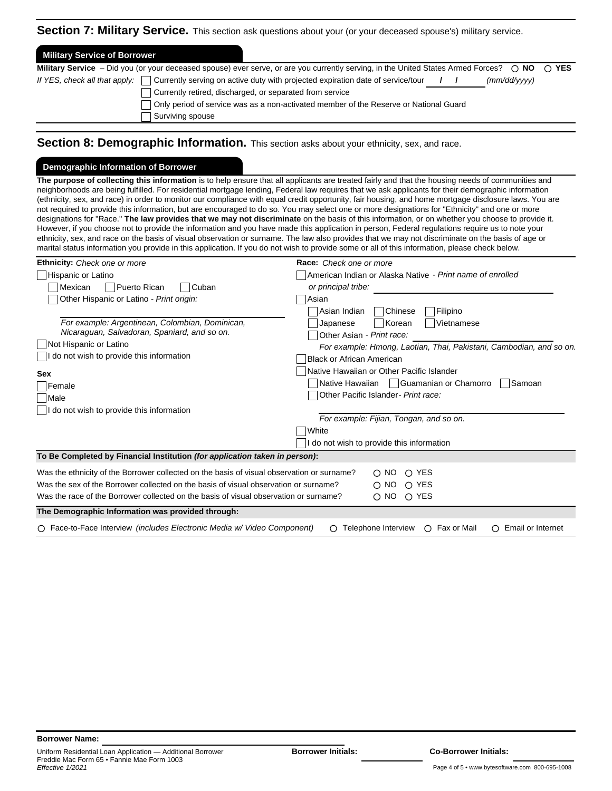**Section 7: Military Service.** This section ask questions about your (or your deceased spouse's) military service.

| <b>Military Service of Borrower</b>                                                                                                                            |  |
|----------------------------------------------------------------------------------------------------------------------------------------------------------------|--|
| Military Service – Did you (or your deceased spouse) ever serve, or are you currently serving, in the United States Armed Forces? $\bigcirc$ NO $\bigcirc$ YES |  |
| If YES, check all that apply: $\Box$ Currently serving on active duty with projected expiration date of service/tour<br>(mm/dd/vvvv)                           |  |
| Currently retired, discharged, or separated from service                                                                                                       |  |
| Only period of service was as a non-activated member of the Reserve or National Guard                                                                          |  |
| Surviving spouse                                                                                                                                               |  |

**Section 8: Demographic Information.** This section asks about your ethnicity, sex, and race.

## **Demographic Information of Borrower**

**The purpose of collecting this information** is to help ensure that all applicants are treated fairly and that the housing needs of communities and neighborhoods are being fulfilled. For residential mortgage lending, Federal law requires that we ask applicants for their demographic information (ethnicity, sex, and race) in order to monitor our compliance with equal credit opportunity, fair housing, and home mortgage disclosure laws. You are not required to provide this information, but are encouraged to do so. You may select one or more designations for "Ethnicity" and one or more designations for "Race." **The law provides that we may not discriminate** on the basis of this information, or on whether you choose to provide it. However, if you choose not to provide the information and you have made this application in person, Federal regulations require us to note your ethnicity, sex, and race on the basis of visual observation or surname. The law also provides that we may not discriminate on the basis of age or marital status information you provide in this application. If you do not wish to provide some or all of this information, please check below.

| <b>Ethnicity:</b> Check one or more                                                        | Race: Check one or more                                               |
|--------------------------------------------------------------------------------------------|-----------------------------------------------------------------------|
| Hispanic or Latino                                                                         | American Indian or Alaska Native - Print name of enrolled             |
| Puerto Rican<br><b>Mexican</b><br><b>Cuban</b>                                             | or principal tribe:                                                   |
| Other Hispanic or Latino - Print origin:                                                   | Asian                                                                 |
|                                                                                            | Asian Indian<br>Filipino<br> Chinese                                  |
| For example: Argentinean, Colombian, Dominican,                                            | Korean<br>Vietnamese<br>Japanese                                      |
| Nicaraguan, Salvadoran, Spaniard, and so on.                                               | Other Asian - Print race:                                             |
| Not Hispanic or Latino                                                                     | For example: Hmong, Laotian, Thai, Pakistani, Cambodian, and so on.   |
| I do not wish to provide this information                                                  | <b>Black or African American</b>                                      |
| <b>Sex</b>                                                                                 | Native Hawaiian or Other Pacific Islander                             |
| Female                                                                                     | Native Hawaiian   Guamanian or Chamorro<br><b>Samoan</b>              |
| Male                                                                                       | Other Pacific Islander - Print race:                                  |
| I do not wish to provide this information                                                  |                                                                       |
|                                                                                            | For example: Fijian, Tongan, and so on.                               |
|                                                                                            | White                                                                 |
|                                                                                            | I do not wish to provide this information                             |
| To Be Completed by Financial Institution (for application taken in person):                |                                                                       |
| Was the ethnicity of the Borrower collected on the basis of visual observation or surname? | $\cap$ NO<br>YES<br>∩                                                 |
| Was the sex of the Borrower collected on the basis of visual observation or surname?       | $\bigcirc$ NO<br>O YES                                                |
| Was the race of the Borrower collected on the basis of visual observation or surname?      | O NO<br>O YES                                                         |
| The Demographic Information was provided through:                                          |                                                                       |
| ○ Face-to-Face Interview (includes Electronic Media w/ Video Component)                    | <b>Email or Internet</b><br>Telephone Interview<br>○ Fax or Mail<br>∩ |